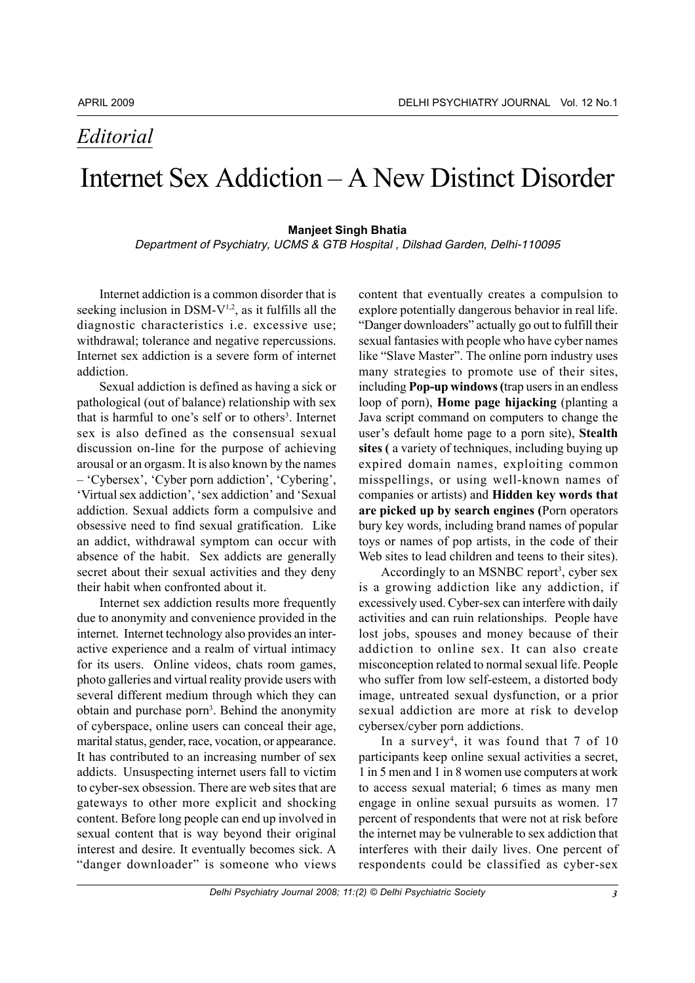### *Editorial*

### Internet Sex Addiction – A New Distinct Disorder

#### **Manjeet Singh Bhatia**

Department of Psychiatry, UCMS & GTB Hospital , Dilshad Garden, Delhi-110095

Internet addiction is a common disorder that is seeking inclusion in DSM- $V^{1,2}$ , as it fulfills all the diagnostic characteristics i.e. excessive use; withdrawal; tolerance and negative repercussions. Internet sex addiction is a severe form of internet addiction.

Sexual addiction is defined as having a sick or pathological (out of balance) relationship with sex that is harmful to one's self or to others<sup>3</sup>. Internet sex is also defined as the consensual sexual discussion on-line for the purpose of achieving arousal or an orgasm. It is also known by the names – 'Cybersex', 'Cyber porn addiction', 'Cybering', 'Virtual sex addiction', 'sex addiction' and 'Sexual addiction. Sexual addicts form a compulsive and obsessive need to find sexual gratification. Like an addict, withdrawal symptom can occur with absence of the habit. Sex addicts are generally secret about their sexual activities and they deny their habit when confronted about it.

Internet sex addiction results more frequently due to anonymity and convenience provided in the internet. Internet technology also provides an interactive experience and a realm of virtual intimacy for its users. Online videos, chats room games, photo galleries and virtual reality provide users with several different medium through which they can obtain and purchase porn<sup>3</sup>. Behind the anonymity of cyberspace, online users can conceal their age, marital status, gender, race, vocation, or appearance. It has contributed to an increasing number of sex addicts. Unsuspecting internet users fall to victim to cyber-sex obsession. There are web sites that are gateways to other more explicit and shocking content. Before long people can end up involved in sexual content that is way beyond their original interest and desire. It eventually becomes sick. A "danger downloader" is someone who views

content that eventually creates a compulsion to explore potentially dangerous behavior in real life. "Danger downloaders" actually go out to fulfill their sexual fantasies with people who have cyber names like "Slave Master". The online porn industry uses many strategies to promote use of their sites, including **Pop-up windows (**trap users in an endless loop of porn), **Home page hijacking** (planting a Java script command on computers to change the user's default home page to a porn site), **Stealth sites (** a variety of techniques, including buying up expired domain names, exploiting common misspellings, or using well-known names of companies or artists) and **Hidden key words that are picked up by search engines (**Porn operators bury key words, including brand names of popular toys or names of pop artists, in the code of their Web sites to lead children and teens to their sites).

Accordingly to an MSNBC report<sup>3</sup>, cyber sex is a growing addiction like any addiction, if excessively used. Cyber-sex can interfere with daily activities and can ruin relationships. People have lost jobs, spouses and money because of their addiction to online sex. It can also create misconception related to normal sexual life. People who suffer from low self-esteem, a distorted body image, untreated sexual dysfunction, or a prior sexual addiction are more at risk to develop cybersex/cyber porn addictions.

In a survey<sup>4</sup>, it was found that 7 of 10 participants keep online sexual activities a secret, 1 in 5 men and 1 in 8 women use computers at work to access sexual material; 6 times as many men engage in online sexual pursuits as women. 17 percent of respondents that were not at risk before the internet may be vulnerable to sex addiction that interferes with their daily lives. One percent of respondents could be classified as cyber-sex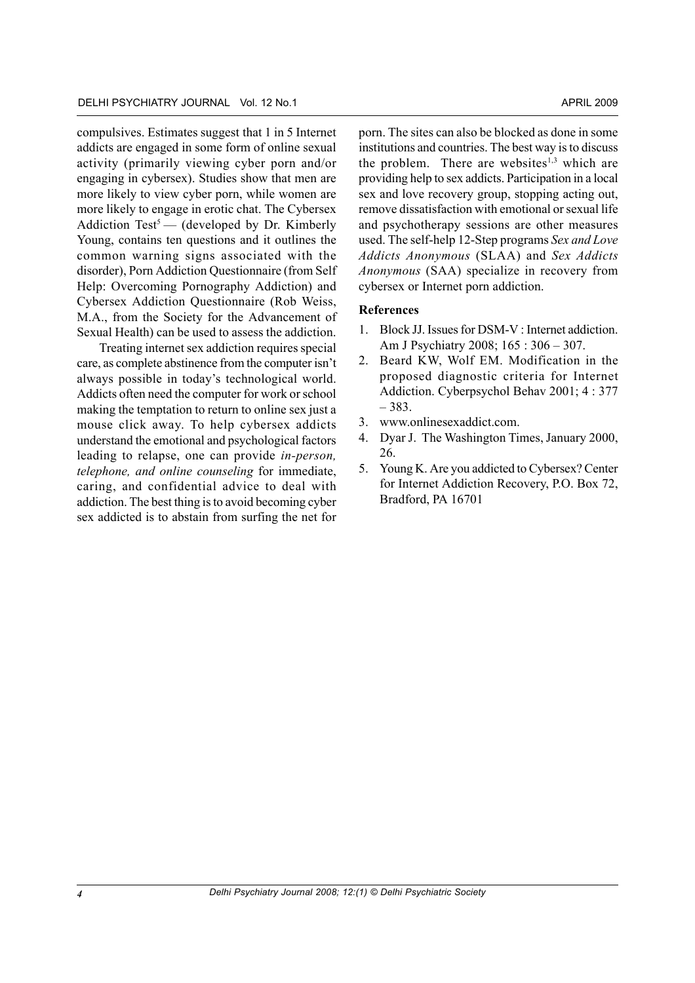compulsives. Estimates suggest that 1 in 5 Internet addicts are engaged in some form of online sexual activity (primarily viewing cyber porn and/or engaging in cybersex). Studies show that men are more likely to view cyber porn, while women are more likely to engage in erotic chat. The Cybersex Addiction Test<sup>5</sup> — (developed by Dr. Kimberly Young, contains ten questions and it outlines the common warning signs associated with the disorder), Porn Addiction Questionnaire (from Self Help: Overcoming Pornography Addiction) and Cybersex Addiction Questionnaire (Rob Weiss, M.A., from the Society for the Advancement of Sexual Health) can be used to assess the addiction.

Treating internet sex addiction requires special care, as complete abstinence from the computer isn't always possible in today's technological world. Addicts often need the computer for work or school making the temptation to return to online sex just a mouse click away. To help cybersex addicts understand the emotional and psychological factors leading to relapse, one can provide *in-person, telephone, and online counseling* for immediate, caring, and confidential advice to deal with addiction. The best thing is to avoid becoming cyber sex addicted is to abstain from surfing the net for

porn. The sites can also be blocked as done in some institutions and countries. The best way is to discuss the problem. There are websites<sup>1,3</sup> which are providing help to sex addicts. Participation in a local sex and love recovery group, stopping acting out, remove dissatisfaction with emotional or sexual life and psychotherapy sessions are other measures used. The self-help 12-Step programs *Sex and Love Addicts Anonymous* (SLAA) and *Sex Addicts Anonymous* (SAA) specialize in recovery from cybersex or Internet porn addiction.

#### **References**

- 1. Block JJ. Issues for DSM-V : Internet addiction. Am J Psychiatry 2008; 165 : 306 – 307.
- 2. Beard KW, Wolf EM. Modification in the proposed diagnostic criteria for Internet Addiction. Cyberpsychol Behav 2001; 4 : 377 – 383.
- 3. www.onlinesexaddict.com.
- 4. Dyar J. The Washington Times, January 2000, 26.
- 5. Young K. Are you addicted to Cybersex? Center for Internet Addiction Recovery, P.O. Box 72, Bradford, PA 16701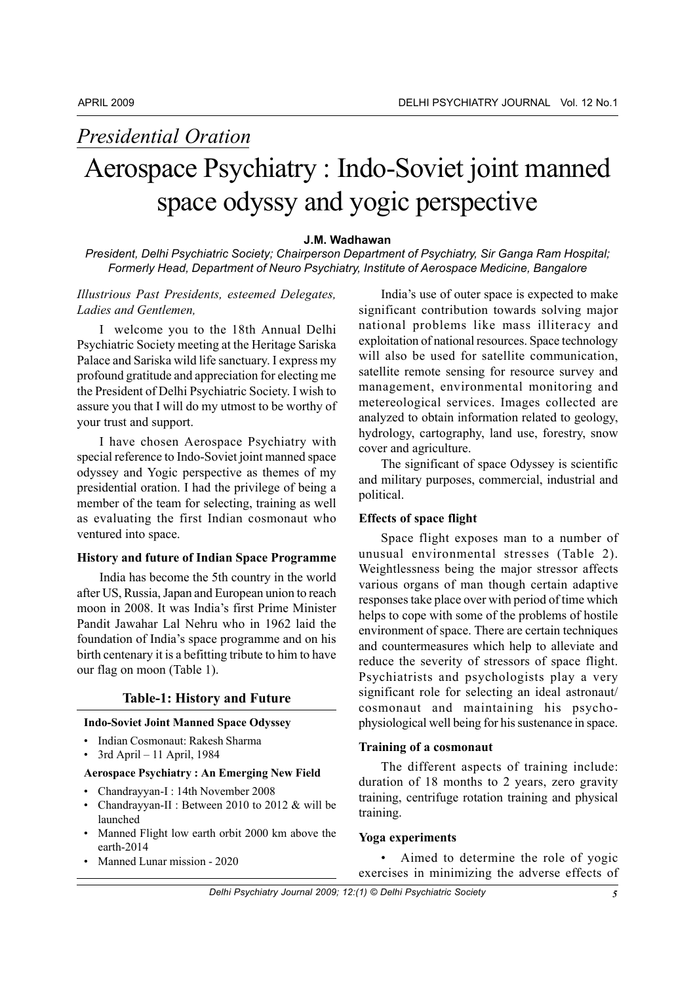# *Presidential Oration*

## Aerospace Psychiatry : Indo-Soviet joint manned space odyssy and yogic perspective

#### **J.M. Wadhawan**

*President, Delhi Psychiatric Society; Chairperson Department of Psychiatry, Sir Ganga Ram Hospital; Formerly Head, Department of Neuro Psychiatry, Institute of Aerospace Medicine, Bangalore*

#### *Illustrious Past Presidents, esteemed Delegates, Ladies and Gentlemen,*

I welcome you to the 18th Annual Delhi Psychiatric Society meeting at the Heritage Sariska Palace and Sariska wild life sanctuary. I express my profound gratitude and appreciation for electing me the President of Delhi Psychiatric Society. I wish to assure you that I will do my utmost to be worthy of your trust and support.

I have chosen Aerospace Psychiatry with special reference to Indo-Soviet joint manned space odyssey and Yogic perspective as themes of my presidential oration. I had the privilege of being a member of the team for selecting, training as well as evaluating the first Indian cosmonaut who ventured into space.

#### **History and future of Indian Space Programme**

India has become the 5th country in the world after US, Russia, Japan and European union to reach moon in 2008. It was India's first Prime Minister Pandit Jawahar Lal Nehru who in 1962 laid the foundation of India's space programme and on his birth centenary it is a befitting tribute to him to have our flag on moon (Table 1).

#### **Table-1: History and Future**

#### **Indo-Soviet Joint Manned Space Odyssey**

- Indian Cosmonaut: Rakesh Sharma
- 3rd April 11 April, 1984

#### **Aerospace Psychiatry : An Emerging New Field**

- Chandrayyan-I : 14th November 2008
- Chandrayyan-II : Between 2010 to 2012 & will be launched
- Manned Flight low earth orbit 2000 km above the earth-2014
- Manned Lunar mission 2020

India's use of outer space is expected to make significant contribution towards solving major national problems like mass illiteracy and exploitation of national resources. Space technology will also be used for satellite communication, satellite remote sensing for resource survey and management, environmental monitoring and metereological services. Images collected are analyzed to obtain information related to geology, hydrology, cartography, land use, forestry, snow cover and agriculture.

The significant of space Odyssey is scientific and military purposes, commercial, industrial and political.

#### **Effects of space flight**

Space flight exposes man to a number of unusual environmental stresses (Table 2). Weightlessness being the major stressor affects various organs of man though certain adaptive responses take place over with period of time which helps to cope with some of the problems of hostile environment of space. There are certain techniques and countermeasures which help to alleviate and reduce the severity of stressors of space flight. Psychiatrists and psychologists play a very significant role for selecting an ideal astronaut/ cosmonaut and maintaining his psychophysiological well being for his sustenance in space.

#### **Training of a cosmonaut**

The different aspects of training include: duration of 18 months to 2 years, zero gravity training, centrifuge rotation training and physical training.

#### **Yoga experiments**

• Aimed to determine the role of yogic exercises in minimizing the adverse effects of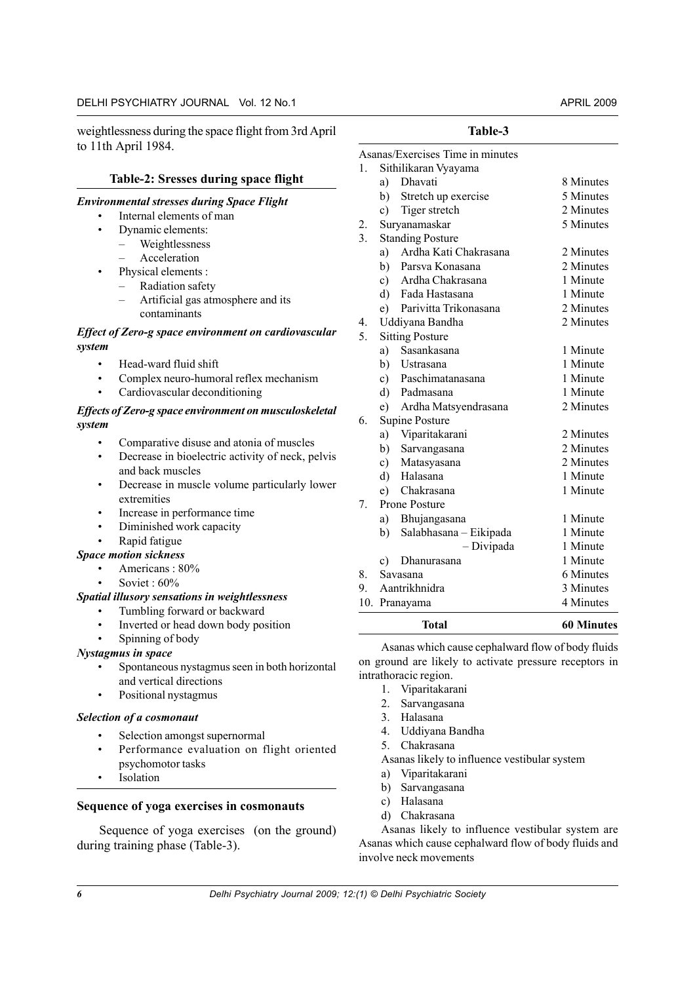weightlessness during the space flight from 3rd April to 11th April 1984.

#### **Table-2: Sresses during space flight**

#### *Environmental stresses during Space Flight*

- Internal elements of man
- Dynamic elements:
	- Weightlessness
		- Acceleration
- Physical elements :
	- Radiation safety
	- Artificial gas atmosphere and its contaminants

#### *Effect of Zero-g space environment on cardiovascular system*

- Head-ward fluid shift
- Complex neuro-humoral reflex mechanism
- Cardiovascular deconditioning

#### *Effects of Zero-g space environment on musculoskeletal system*

- Comparative disuse and atonia of muscles
- Decrease in bioelectric activity of neck, pelvis and back muscles
- Decrease in muscle volume particularly lower extremities
- Increase in performance time
- Diminished work capacity
- Rapid fatigue

#### *Space motion sickness*

- Americans : 80%
	- Soviet : 60%

#### *Spatial illusory sensations in weightlessness*

- Tumbling forward or backward
- Inverted or head down body position
- Spinning of body

#### *Nystagmus in space*

- Spontaneous nystagmus seen in both horizontal and vertical directions
- Positional nystagmus

#### *Selection of a cosmonaut*

- Selection amongst supernormal
- Performance evaluation on flight oriented psychomotor tasks
- **Isolation**

#### **Sequence of yoga exercises in cosmonauts**

Sequence of yoga exercises (on the ground) during training phase (Table-3).

#### **Table-3**

|         |              | Total                            | 60 Minutes |
|---------|--------------|----------------------------------|------------|
|         |              | 10. Pranayama                    | 4 Minutes  |
| 9.      |              | Aantrikhnidra                    | 3 Minutes  |
| 8.      |              | Savasana                         | 6 Minutes  |
|         | c)           | Dhanurasana                      | 1 Minute   |
|         |              | - Divipada                       | 1 Minute   |
|         | b)           | Salabhasana - Eikipada           | 1 Minute   |
|         |              | a) Bhujangasana                  | 1 Minute   |
| 7.      |              | Prone Posture                    |            |
|         | e)           | Chakrasana                       | 1 Minute   |
|         | $\mathbf{d}$ | Halasana                         | 1 Minute   |
|         |              | c) Matasyasana                   | 2 Minutes  |
|         |              | b) Sarvangasana                  | 2 Minutes  |
|         | a)           | Viparitakarani                   | 2 Minutes  |
| 6.      |              | Supine Posture                   |            |
|         | e)           | Ardha Matsyendrasana             | 2 Minutes  |
|         |              | d) Padmasana                     | 1 Minute   |
|         |              | c) Paschimatanasana              | 1 Minute   |
|         |              | b) Ustrasana                     | 1 Minute   |
|         |              | a) Sasankasana                   | 1 Minute   |
| 5.      |              | <b>Sitting Posture</b>           |            |
| 4.      |              | Uddiyana Bandha                  | 2 Minutes  |
|         | e)           | Parivitta Trikonasana            | 2 Minutes  |
|         |              | d) Fada Hastasana                | 1 Minute   |
|         |              | c) Ardha Chakrasana              | 1 Minute   |
|         |              | b) Parsva Konasana               | 2 Minutes  |
|         | a)           | Ardha Kati Chakrasana            | 2 Minutes  |
| 3.      |              | <b>Standing Posture</b>          |            |
| 2.      |              | Suryanamaskar                    | 5 Minutes  |
|         | c)           | Tiger stretch                    | 2 Minutes  |
|         |              | b) Stretch up exercise           | 5 Minutes  |
|         | a)           | Dhavati                          | 8 Minutes  |
| $1_{-}$ |              | Sithilikaran Vyayama             |            |
|         |              | Asanas/Exercises Time in minutes |            |

Asanas which cause cephalward flow of body fluids on ground are likely to activate pressure receptors in intrathoracic region.

- 1. Viparitakarani
- 2. Sarvangasana
- 3. Halasana
- 4. Uddiyana Bandha
- 5. Chakrasana

Asanas likely to influence vestibular system

- a) Viparitakarani
- b) Sarvangasana
- c) Halasana
- d) Chakrasana

Asanas likely to influence vestibular system are Asanas which cause cephalward flow of body fluids and involve neck movements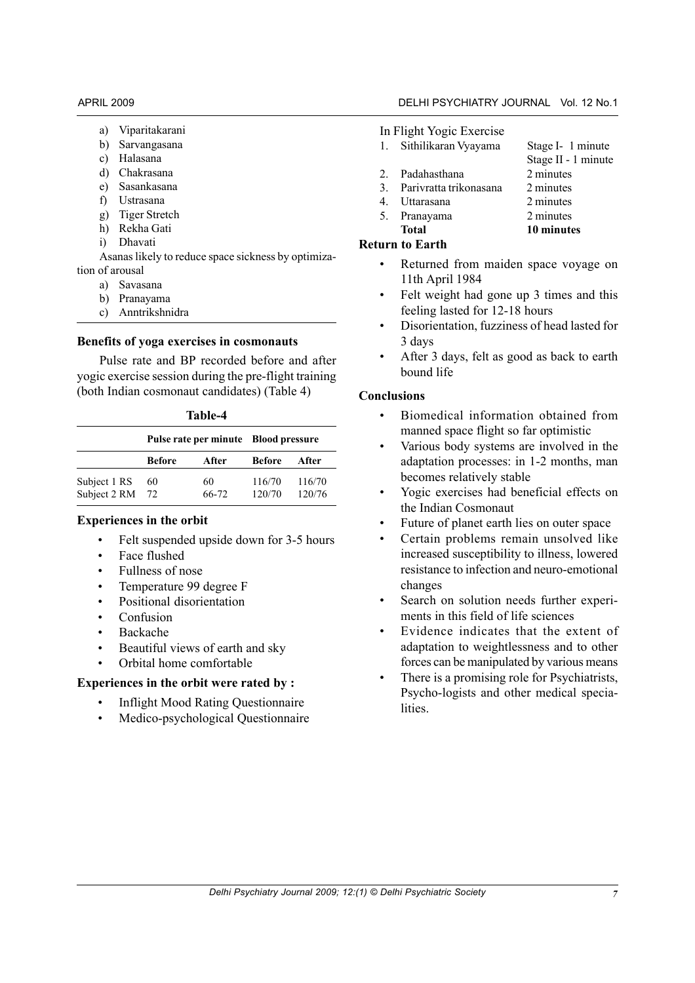- a) Viparitakarani
- b) Sarvangasana
- c) Halasana
- d) Chakrasana
- e) Sasankasana
- f) Ustrasana
- g) Tiger Stretch
- h) Rekha Gati
- i) Dhavati

Asanas likely to reduce space sickness by optimization of arousal

- a) Savasana
- b) Pranayama
- c) Anntrikshnidra

#### **Benefits of yoga exercises in cosmonauts**

Pulse rate and BP recorded before and after yogic exercise session during the pre-flight training (both Indian cosmonaut candidates) (Table 4)

| Table-4              |  |
|----------------------|--|
| luko roto nor minuto |  |

|                              |               |             | Pulse rate per minute Blood pressure |                  |  |
|------------------------------|---------------|-------------|--------------------------------------|------------------|--|
|                              | <b>Before</b> | After       | <b>Before</b>                        | After            |  |
| Subject 1 RS<br>Subject 2 RM | 60<br>72      | 60<br>66-72 | 116/70<br>120/70                     | 116/70<br>120/76 |  |

#### **Experiences in the orbit**

- Felt suspended upside down for 3-5 hours
- Face flushed
- Fullness of nose
- Temperature 99 degree F
- Positional disorientation
- Confusion
- Backache
- Beautiful views of earth and sky
- Orbital home comfortable

#### **Experiences in the orbit were rated by :**

- Inflight Mood Rating Questionnaire
- Medico-psychological Questionnaire

#### In Flight Yogic Exercise

- 1. Sithilikaran Vyayama Stage I- 1 minute
- 
- 2. Padahasthana 2 minutes
- 3. Parivratta trikonasana 2 minutes 4. Uttarasana 2 minutes
- 
- 5. Pranayama 2 minutes
	- **Total 10 minutes**

#### **Return to Earth**

- Returned from maiden space voyage on 11th April 1984
- Felt weight had gone up 3 times and this feeling lasted for 12-18 hours
- Disorientation, fuzziness of head lasted for 3 days
- After 3 days, felt as good as back to earth bound life

#### **Conclusions**

- Biomedical information obtained from manned space flight so far optimistic
- Various body systems are involved in the adaptation processes: in 1-2 months, man becomes relatively stable
- Yogic exercises had beneficial effects on the Indian Cosmonaut
- Future of planet earth lies on outer space
- Certain problems remain unsolved like increased susceptibility to illness, lowered resistance to infection and neuro-emotional changes
- Search on solution needs further experiments in this field of life sciences
- Evidence indicates that the extent of adaptation to weightlessness and to other forces can be manipulated by various means
- There is a promising role for Psychiatrists, Psycho-logists and other medical specialities.

### Stage II - 1 minute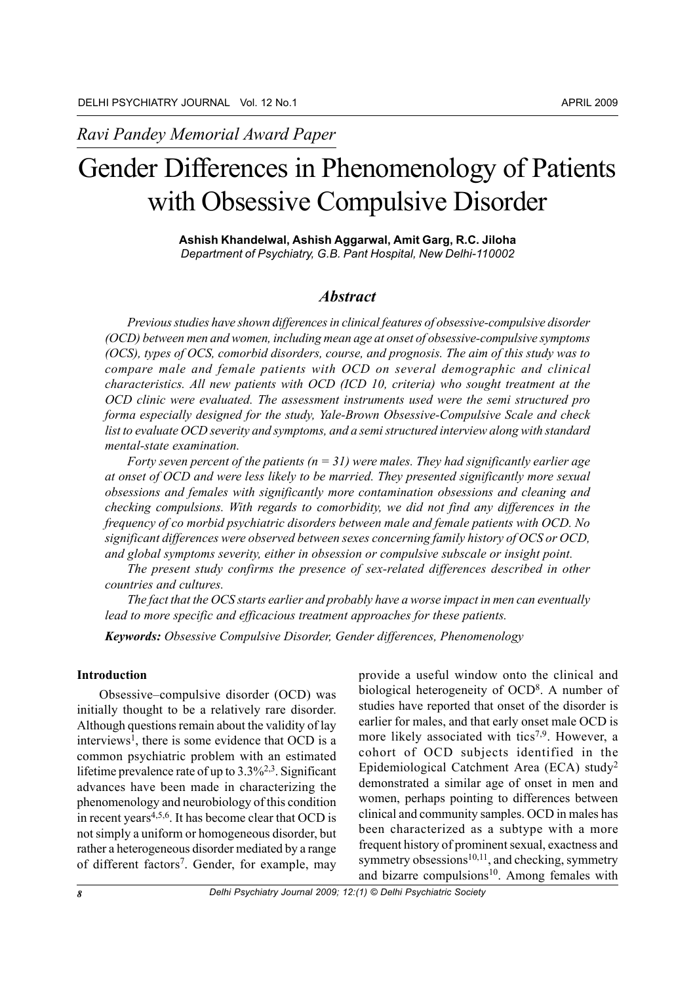*Ravi Pandey Memorial Award Paper*

### Gender Differences in Phenomenology of Patients with Obsessive Compulsive Disorder

**Ashish Khandelwal, Ashish Aggarwal, Amit Garg, R.C. Jiloha** *Department of Psychiatry, G.B. Pant Hospital, New Delhi-110002*

#### *Abstract*

*Previous studies have shown differences in clinical features of obsessive-compulsive disorder (OCD) between men and women, including mean age at onset of obsessive-compulsive symptoms (OCS), types of OCS, comorbid disorders, course, and prognosis. The aim of this study was to compare male and female patients with OCD on several demographic and clinical characteristics. All new patients with OCD (ICD 10, criteria) who sought treatment at the OCD clinic were evaluated. The assessment instruments used were the semi structured pro forma especially designed for the study, Yale-Brown Obsessive-Compulsive Scale and check list to evaluate OCD severity and symptoms, and a semistructured interview along with standard mental-state examination.*

*Forty seven percent of the patients (n = 31) were males. They had significantly earlier age at onset of OCD and were less likely to be married. They presented significantly more sexual obsessions and females with significantly more contamination obsessions and cleaning and checking compulsions. With regards to comorbidity, we did not find any differences in the frequency of co morbid psychiatric disorders between male and female patients with OCD. No significant differences were observed between sexes concerning family history of OCS or OCD, and global symptoms severity, either in obsession or compulsive subscale or insight point.*

*The present study confirms the presence of sex-related differences described in other countries and cultures.*

*The fact that the OCS starts earlier and probably have a worse impact in men can eventually lead to more specific and efficacious treatment approaches for these patients.*

*Keywords: Obsessive Compulsive Disorder, Gender differences, Phenomenology*

#### **Introduction**

Obsessive–compulsive disorder (OCD) was initially thought to be a relatively rare disorder. Although questions remain about the validity of lay interviews<sup>1</sup>, there is some evidence that OCD is a common psychiatric problem with an estimated lifetime prevalence rate of up to  $3.3\frac{62}{3}$ . Significant advances have been made in characterizing the phenomenology and neurobiology of this condition in recent years4,5,6. It has become clear that OCD is not simply a uniform or homogeneous disorder, but rather a heterogeneous disorder mediated by a range of different factors<sup>7</sup>. Gender, for example, may

provide a useful window onto the clinical and biological heterogeneity of OCD8. A number of studies have reported that onset of the disorder is earlier for males, and that early onset male OCD is more likely associated with tics<sup>7,9</sup>. However, a cohort of OCD subjects identified in the Epidemiological Catchment Area (ECA) study2 demonstrated a similar age of onset in men and women, perhaps pointing to differences between clinical and community samples. OCD in males has been characterized as a subtype with a more frequent history of prominent sexual, exactness and symmetry obsessions<sup>10,11</sup>, and checking, symmetry and bizarre compulsions<sup>10</sup>. Among females with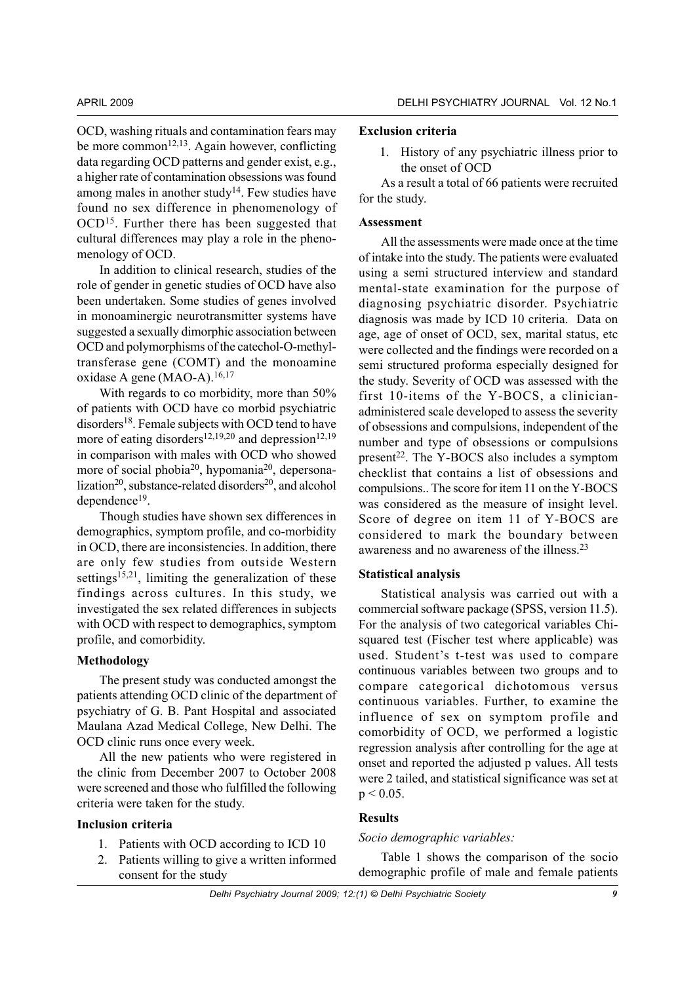OCD, washing rituals and contamination fears may be more common<sup>12,13</sup>. Again however, conflicting data regarding OCD patterns and gender exist, e.g., a higher rate of contamination obsessions was found among males in another study<sup>14</sup>. Few studies have found no sex difference in phenomenology of OCD<sup>15</sup>. Further there has been suggested that cultural differences may play a role in the phenomenology of OCD.

In addition to clinical research, studies of the role of gender in genetic studies of OCD have also been undertaken. Some studies of genes involved in monoaminergic neurotransmitter systems have suggested a sexually dimorphic association between OCD and polymorphisms of the catechol-O-methyltransferase gene (COMT) and the monoamine oxidase A gene (MAO-A). $16,17$ 

With regards to co morbidity, more than 50% of patients with OCD have co morbid psychiatric disorders<sup>18</sup>. Female subjects with OCD tend to have more of eating disorders<sup>12,19,20</sup> and depression<sup>12,19</sup> in comparison with males with OCD who showed more of social phobia<sup>20</sup>, hypomania<sup>20</sup>, depersonalization<sup>20</sup>, substance-related disorders<sup>20</sup>, and alcohol dependence19.

Though studies have shown sex differences in demographics, symptom profile, and co-morbidity in OCD, there are inconsistencies. In addition, there are only few studies from outside Western settings<sup>15,21</sup>, limiting the generalization of these findings across cultures. In this study, we investigated the sex related differences in subjects with OCD with respect to demographics, symptom profile, and comorbidity.

#### **Methodology**

The present study was conducted amongst the patients attending OCD clinic of the department of psychiatry of G. B. Pant Hospital and associated Maulana Azad Medical College, New Delhi. The OCD clinic runs once every week.

All the new patients who were registered in the clinic from December 2007 to October 2008 were screened and those who fulfilled the following criteria were taken for the study.

#### **Inclusion criteria**

- 1. Patients with OCD according to ICD 10
- 2. Patients willing to give a written informed consent for the study

#### **Exclusion criteria**

1. History of any psychiatric illness prior to the onset of OCD

As a result a total of 66 patients were recruited for the study.

#### **Assessment**

All the assessments were made once at the time of intake into the study. The patients were evaluated using a semi structured interview and standard mental-state examination for the purpose of diagnosing psychiatric disorder. Psychiatric diagnosis was made by ICD 10 criteria. Data on age, age of onset of OCD, sex, marital status, etc were collected and the findings were recorded on a semi structured proforma especially designed for the study. Severity of OCD was assessed with the first 10-items of the Y-BOCS, a clinicianadministered scale developed to assess the severity of obsessions and compulsions, independent of the number and type of obsessions or compulsions present $22$ . The Y-BOCS also includes a symptom checklist that contains a list of obsessions and compulsions.. The score for item 11 on the Y-BOCS was considered as the measure of insight level. Score of degree on item 11 of Y-BOCS are considered to mark the boundary between awareness and no awareness of the illness.<sup>23</sup>

#### **Statistical analysis**

Statistical analysis was carried out with a commercial software package (SPSS, version 11.5). For the analysis of two categorical variables Chisquared test (Fischer test where applicable) was used. Student's t-test was used to compare continuous variables between two groups and to compare categorical dichotomous versus continuous variables. Further, to examine the influence of sex on symptom profile and comorbidity of OCD, we performed a logistic regression analysis after controlling for the age at onset and reported the adjusted p values. All tests were 2 tailed, and statistical significance was set at  $p < 0.05$ .

#### **Results**

#### *Socio demographic variables:*

Table 1 shows the comparison of the socio demographic profile of male and female patients

*Delhi Psychiatry Journal 2009; 12:(1) © Delhi Psychiatric Society 9*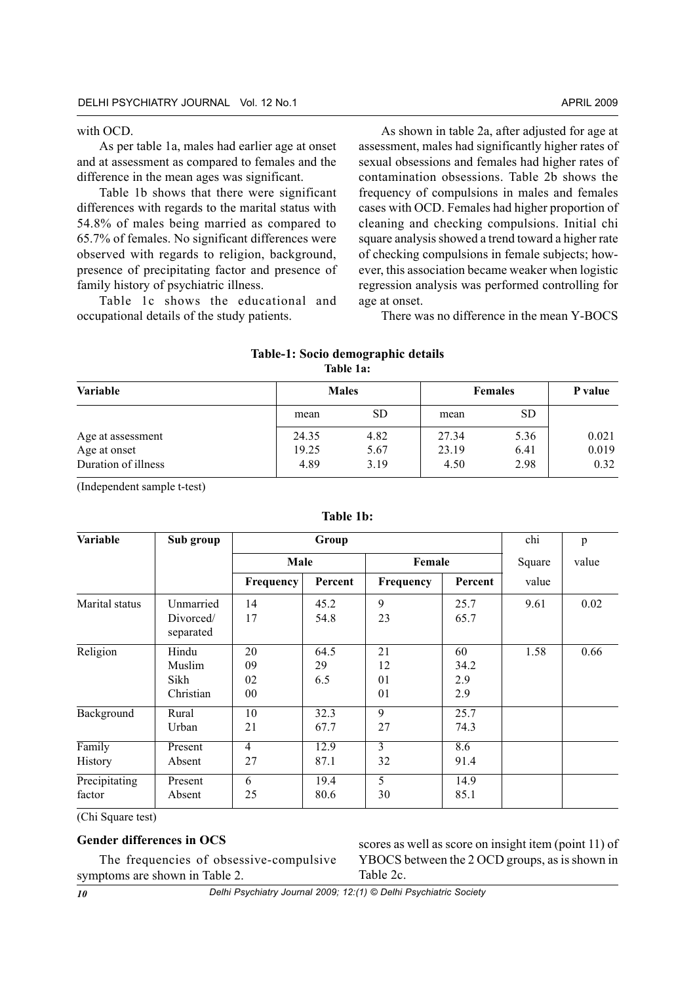#### with OCD.

As per table 1a, males had earlier age at onset and at assessment as compared to females and the difference in the mean ages was significant.

Table 1b shows that there were significant differences with regards to the marital status with 54.8% of males being married as compared to 65.7% of females. No significant differences were observed with regards to religion, background, presence of precipitating factor and presence of family history of psychiatric illness.

Table 1c shows the educational and occupational details of the study patients.

As shown in table 2a, after adjusted for age at assessment, males had significantly higher rates of sexual obsessions and females had higher rates of contamination obsessions. Table 2b shows the frequency of compulsions in males and females cases with OCD. Females had higher proportion of cleaning and checking compulsions. Initial chi square analysis showed a trend toward a higher rate of checking compulsions in female subjects; however, this association became weaker when logistic regression analysis was performed controlling for age at onset.

There was no difference in the mean Y-BOCS

#### **Table-1: Socio demographic details Table 1a:**

| Variable                                                 |                        | <b>Males</b>         |                        | <b>Females</b>       | P value                |  |
|----------------------------------------------------------|------------------------|----------------------|------------------------|----------------------|------------------------|--|
|                                                          | mean                   | SD.                  | mean                   | <b>SD</b>            |                        |  |
| Age at assessment<br>Age at onset<br>Duration of illness | 24.35<br>19.25<br>4.89 | 4.82<br>5.67<br>3.19 | 27.34<br>23.19<br>4.50 | 5.36<br>6.41<br>2.98 | 0.021<br>0.019<br>0.32 |  |

(Independent sample t-test)

| Variable                | Sub group                            | chi                  | p                 |                      |                          |        |       |
|-------------------------|--------------------------------------|----------------------|-------------------|----------------------|--------------------------|--------|-------|
|                         |                                      | Male                 |                   | Female               |                          | Square | value |
|                         |                                      | Frequency            | Percent           | Frequency            | Percent                  | value  |       |
| Marital status          | Unmarried<br>Divorced/<br>separated  | 14<br>17             | 45.2<br>54.8      | 9<br>23              | 25.7<br>65.7             | 9.61   | 0.02  |
| Religion                | Hindu<br>Muslim<br>Sikh<br>Christian | 20<br>09<br>02<br>00 | 64.5<br>29<br>6.5 | 21<br>12<br>01<br>01 | 60<br>34.2<br>2.9<br>2.9 | 1.58   | 0.66  |
| Background              | Rural<br>Urban                       | 10<br>21             | 32.3<br>67.7      | 9<br>27              | 25.7<br>74.3             |        |       |
| Family<br>History       | Present<br>Absent                    | $\overline{4}$<br>27 | 12.9<br>87.1      | 3<br>32              | 8.6<br>91.4              |        |       |
| Precipitating<br>factor | Present<br>Absent                    | 6<br>25              | 19.4<br>80.6      | 5<br>30              | 14.9<br>85.1             |        |       |

#### **Table 1b:**

(Chi Square test)

#### **Gender differences in OCS**

The frequencies of obsessive-compulsive symptoms are shown in Table 2. scores as well as score on insight item (point 11) of YBOCS between the 2 OCD groups, as is shown in Table 2c.

*10*

*Delhi Psychiatry Journal 2009; 12:(1) © Delhi Psychiatric Society*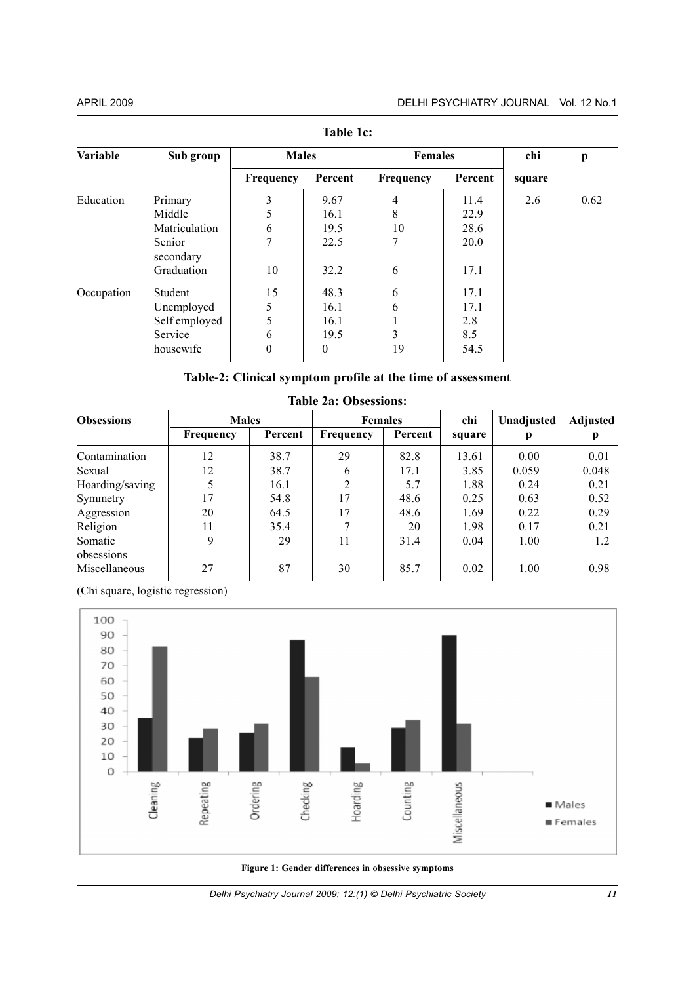| TAVIV 1V.           |  |  |  |  |  |  |  |  |  |
|---------------------|--|--|--|--|--|--|--|--|--|
| chi<br>$\mathbf{p}$ |  |  |  |  |  |  |  |  |  |
| square              |  |  |  |  |  |  |  |  |  |
| 0.62                |  |  |  |  |  |  |  |  |  |
|                     |  |  |  |  |  |  |  |  |  |
|                     |  |  |  |  |  |  |  |  |  |
|                     |  |  |  |  |  |  |  |  |  |
|                     |  |  |  |  |  |  |  |  |  |
|                     |  |  |  |  |  |  |  |  |  |
|                     |  |  |  |  |  |  |  |  |  |
|                     |  |  |  |  |  |  |  |  |  |
|                     |  |  |  |  |  |  |  |  |  |
|                     |  |  |  |  |  |  |  |  |  |
| 2.6                 |  |  |  |  |  |  |  |  |  |

**Table 1c:**

**Table-2: Clinical symptom profile at the time of assessment**

| <b>Obsessions</b>     | <b>Males</b> |         | <b>Females</b> |         | chi    | Unadjusted | Adjusted |
|-----------------------|--------------|---------|----------------|---------|--------|------------|----------|
|                       | Frequency    | Percent | Frequency      | Percent | square | р          |          |
| Contamination         | 12           | 38.7    | 29             | 82.8    | 13.61  | 0.00       | 0.01     |
| Sexual                | 12           | 38.7    | 6              | 17.1    | 3.85   | 0.059      | 0.048    |
| Hoarding/saving       | 5            | 16.1    | $\mathfrak{D}$ | 5.7     | 1.88   | 0.24       | 0.21     |
| Symmetry              | 17           | 54.8    | 17             | 48.6    | 0.25   | 0.63       | 0.52     |
| Aggression            | 20           | 64.5    | 17             | 48.6    | 1.69   | 0.22       | 0.29     |
| Religion              | 11           | 35.4    |                | 20      | 1.98   | 0.17       | 0.21     |
| Somatic<br>obsessions | 9            | 29      | 11             | 31.4    | 0.04   | 1.00       | 1.2      |
| Miscellaneous         | 27           | 87      | 30             | 85.7    | 0.02   | 1.00       | 0.98     |

#### **Table 2a: Obsessions:**

(Chi square, logistic regression)



**Figure 1: Gender differences in obsessive symptoms**

*Delhi Psychiatry Journal 2009; 12:(1) © Delhi Psychiatric Society*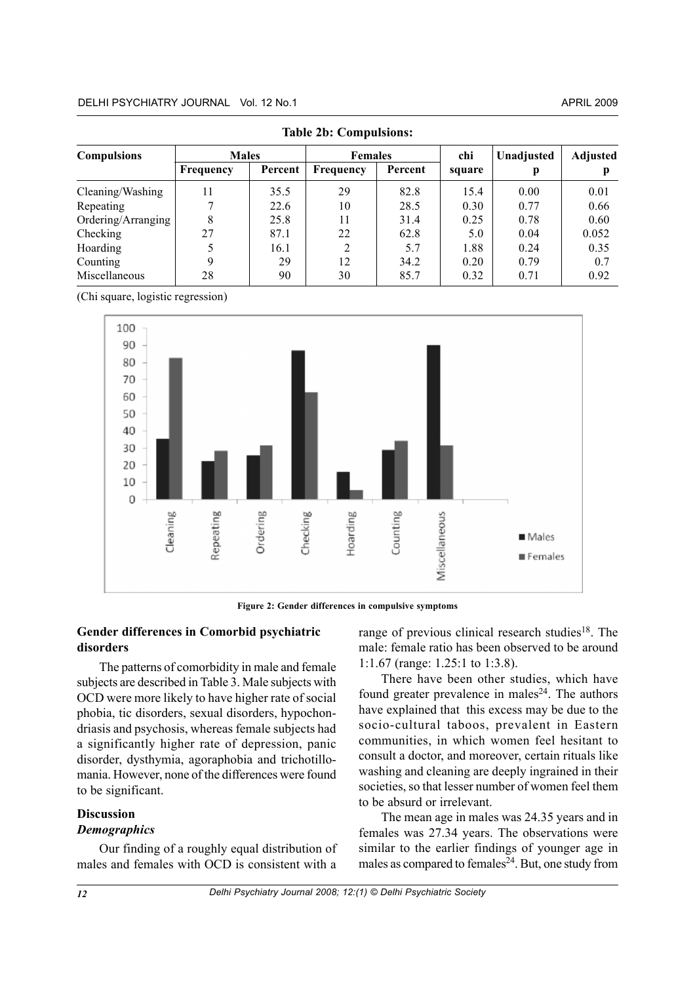| <b>Compulsions</b> | <b>Males</b> |         | <b>Females</b> |         | chi    | Unadjusted | Adjusted |  |
|--------------------|--------------|---------|----------------|---------|--------|------------|----------|--|
|                    | Frequency    | Percent | Frequency      | Percent | square |            |          |  |
| Cleaning/Washing   | 11           | 35.5    | 29             | 82.8    | 15.4   | 0.00       | 0.01     |  |
| Repeating          | 7            | 22.6    | 10             | 28.5    | 0.30   | 0.77       | 0.66     |  |
| Ordering/Arranging | 8            | 25.8    |                | 31.4    | 0.25   | 0.78       | 0.60     |  |
| Checking           | 27           | 87.1    | 22             | 62.8    | 5.0    | 0.04       | 0.052    |  |
| Hoarding           |              | 16.1    |                | 5.7     | 1.88   | 0.24       | 0.35     |  |
| Counting           | 9            | 29      | 12             | 34.2    | 0.20   | 0.79       | 0.7      |  |
| Miscellaneous      | 28           | 90      | 30             | 85.7    | 0.32   | 0.71       | 0.92     |  |

**Table 2b: Compulsions:**

(Chi square, logistic regression)



**Figure 2: Gender differences in compulsive symptoms**

#### **Gender differences in Comorbid psychiatric disorders**

The patterns of comorbidity in male and female subjects are described in Table 3. Male subjects with OCD were more likely to have higher rate of social phobia, tic disorders, sexual disorders, hypochondriasis and psychosis, whereas female subjects had a significantly higher rate of depression, panic disorder, dysthymia, agoraphobia and trichotillomania. However, none of the differences were found to be significant.

#### **Discussion** *Demographics*

Our finding of a roughly equal distribution of males and females with OCD is consistent with a

range of previous clinical research studies $18$ . The male: female ratio has been observed to be around 1:1.67 (range: 1.25:1 to 1:3.8).

There have been other studies, which have found greater prevalence in males $24$ . The authors have explained that this excess may be due to the socio-cultural taboos, prevalent in Eastern communities, in which women feel hesitant to consult a doctor, and moreover, certain rituals like washing and cleaning are deeply ingrained in their societies, so that lesser number of women feel them to be absurd or irrelevant.

The mean age in males was 24.35 years and in females was 27.34 years. The observations were similar to the earlier findings of younger age in males as compared to females $24$ . But, one study from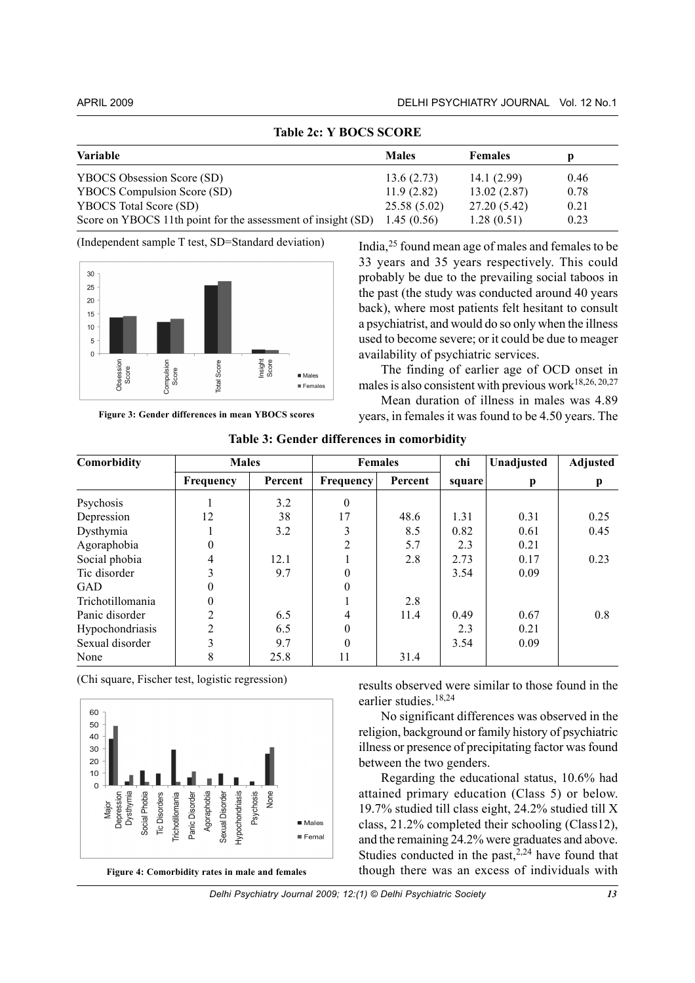| TADIE ZC: Y BUUS SUUKE                                       |              |                |      |  |  |  |  |  |
|--------------------------------------------------------------|--------------|----------------|------|--|--|--|--|--|
| Variable                                                     | <b>Males</b> | <b>Females</b> | p    |  |  |  |  |  |
| YBOCS Obsession Score (SD)                                   | 13.6(2.73)   | 14.1(2.99)     | 0.46 |  |  |  |  |  |
| YBOCS Compulsion Score (SD)                                  | 11.9(2.82)   | 13.02(2.87)    | 0.78 |  |  |  |  |  |
| <b>YBOCS</b> Total Score (SD)                                | 25.58(5.02)  | 27.20 (5.42)   | 0.21 |  |  |  |  |  |
| Score on YBOCS 11th point for the assessment of insight (SD) | 1.45(0.56)   | 1.28(0.51)     | 0.23 |  |  |  |  |  |

**Table 2c: Y BOCS SCORE**

(Independent sample T test, SD=Standard deviation)



**Figure 3: Gender differences in mean YBOCS scores**

India,25 found mean age of males and females to be 33 years and 35 years respectively. This could probably be due to the prevailing social taboos in the past (the study was conducted around 40 years back), where most patients felt hesitant to consult a psychiatrist, and would do so only when the illness used to become severe; or it could be due to meager availability of psychiatric services.

The finding of earlier age of OCD onset in males is also consistent with previous work $18,26,20,27$ 

Mean duration of illness in males was 4.89 years, in females it was found to be 4.50 years. The

| Comorbidity      | <b>Males</b>   |         | <b>Females</b>   |         | chi    | Unadjusted | Adjusted |
|------------------|----------------|---------|------------------|---------|--------|------------|----------|
|                  | Frequency      | Percent | <b>Frequency</b> | Percent | square | p          | p        |
| Psychosis        |                | 3.2     | $\theta$         |         |        |            |          |
| Depression       | 12             | 38      | 17               | 48.6    | 1.31   | 0.31       | 0.25     |
| Dysthymia        |                | 3.2     |                  | 8.5     | 0.82   | 0.61       | 0.45     |
| Agoraphobia      | $\overline{0}$ |         | $\mathfrak{D}$   | 5.7     | 2.3    | 0.21       |          |
| Social phobia    | 4              | 12.1    |                  | 2.8     | 2.73   | 0.17       | 0.23     |
| Tic disorder     | 3              | 9.7     | 0                |         | 3.54   | 0.09       |          |
| GAD              | $\theta$       |         | $\Omega$         |         |        |            |          |
| Trichotillomania | $\overline{0}$ |         |                  | 2.8     |        |            |          |
| Panic disorder   | $\overline{2}$ | 6.5     | 4                | 11.4    | 0.49   | 0.67       | 0.8      |
| Hypochondriasis  | $\overline{2}$ | 6.5     | $\Omega$         |         | 2.3    | 0.21       |          |
| Sexual disorder  | 3              | 9.7     |                  |         | 3.54   | 0.09       |          |
| None             | 8              | 25.8    | 11               | 31.4    |        |            |          |

**Table 3: Gender differences in comorbidity**

(Chi square, Fischer test, logistic regression)



results observed were similar to those found in the earlier studies.18,24

No significant differences was observed in the religion, background or family history of psychiatric illness or presence of precipitating factor was found between the two genders.

Regarding the educational status, 10.6% had attained primary education (Class 5) or below. 19.7% studied till class eight, 24.2% studied till X class, 21.2% completed their schooling (Class12), and the remaining 24.2% were graduates and above. Studies conducted in the past, $2,24$  have found that though there was an excess of individuals with

*Delhi Psychiatry Journal 2009; 12:(1) © Delhi Psychiatric Society*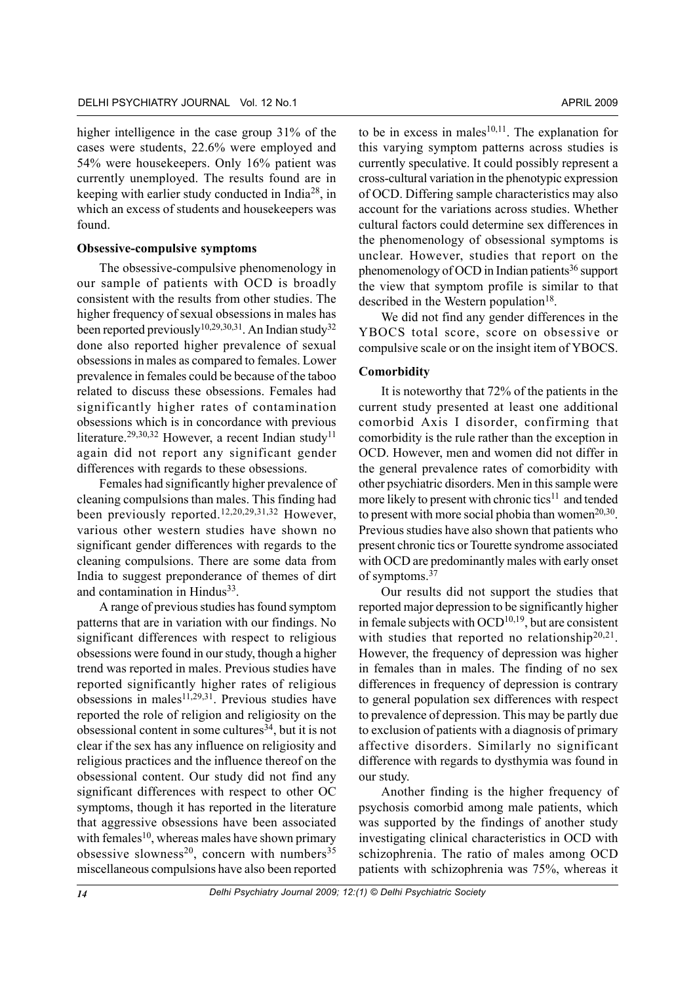higher intelligence in the case group 31% of the cases were students, 22.6% were employed and 54% were housekeepers. Only 16% patient was currently unemployed. The results found are in keeping with earlier study conducted in India28, in which an excess of students and housekeepers was found.

#### **Obsessive-compulsive symptoms**

The obsessive-compulsive phenomenology in our sample of patients with OCD is broadly consistent with the results from other studies. The higher frequency of sexual obsessions in males has been reported previously<sup>10,29,30,31</sup>. An Indian study<sup>32</sup> done also reported higher prevalence of sexual obsessions in males as compared to females. Lower prevalence in females could be because of the taboo related to discuss these obsessions. Females had significantly higher rates of contamination obsessions which is in concordance with previous literature.<sup>29,30,32</sup> However, a recent Indian study<sup>11</sup> again did not report any significant gender differences with regards to these obsessions.

Females had significantly higher prevalence of cleaning compulsions than males. This finding had been previously reported.12,20,29,31,32 However, various other western studies have shown no significant gender differences with regards to the cleaning compulsions. There are some data from India to suggest preponderance of themes of dirt and contamination in Hindus<sup>33</sup>.

A range of previous studies has found symptom patterns that are in variation with our findings. No significant differences with respect to religious obsessions were found in our study, though a higher trend was reported in males. Previous studies have reported significantly higher rates of religious obsessions in males $11,29,31$ . Previous studies have reported the role of religion and religiosity on the obsessional content in some cultures<sup>34</sup>, but it is not clear if the sex has any influence on religiosity and religious practices and the influence thereof on the obsessional content. Our study did not find any significant differences with respect to other OC symptoms, though it has reported in the literature that aggressive obsessions have been associated with females<sup>10</sup>, whereas males have shown primary obsessive slowness<sup>20</sup>, concern with numbers<sup>35</sup> miscellaneous compulsions have also been reported

to be in excess in males $10,11$ . The explanation for this varying symptom patterns across studies is currently speculative. It could possibly represent a cross-cultural variation in the phenotypic expression of OCD. Differing sample characteristics may also account for the variations across studies. Whether cultural factors could determine sex differences in the phenomenology of obsessional symptoms is unclear. However, studies that report on the phenomenology of OCD in Indian patients<sup>36</sup> support the view that symptom profile is similar to that described in the Western population<sup>18</sup>.

We did not find any gender differences in the YBOCS total score, score on obsessive or compulsive scale or on the insight item of YBOCS.

#### **Comorbidity**

It is noteworthy that 72% of the patients in the current study presented at least one additional comorbid Axis I disorder, confirming that comorbidity is the rule rather than the exception in OCD. However, men and women did not differ in the general prevalence rates of comorbidity with other psychiatric disorders. Men in this sample were more likely to present with chronic tics<sup>11</sup> and tended to present with more social phobia than women $20,30$ . Previous studies have also shown that patients who present chronic tics or Tourette syndrome associated with OCD are predominantly males with early onset of symptoms.37

Our results did not support the studies that reported major depression to be significantly higher in female subjects with  $OCD^{10,19}$ , but are consistent with studies that reported no relationship<sup>20,21</sup>. However, the frequency of depression was higher in females than in males. The finding of no sex differences in frequency of depression is contrary to general population sex differences with respect to prevalence of depression. This may be partly due to exclusion of patients with a diagnosis of primary affective disorders. Similarly no significant difference with regards to dysthymia was found in our study.

Another finding is the higher frequency of psychosis comorbid among male patients, which was supported by the findings of another study investigating clinical characteristics in OCD with schizophrenia. The ratio of males among OCD patients with schizophrenia was 75%, whereas it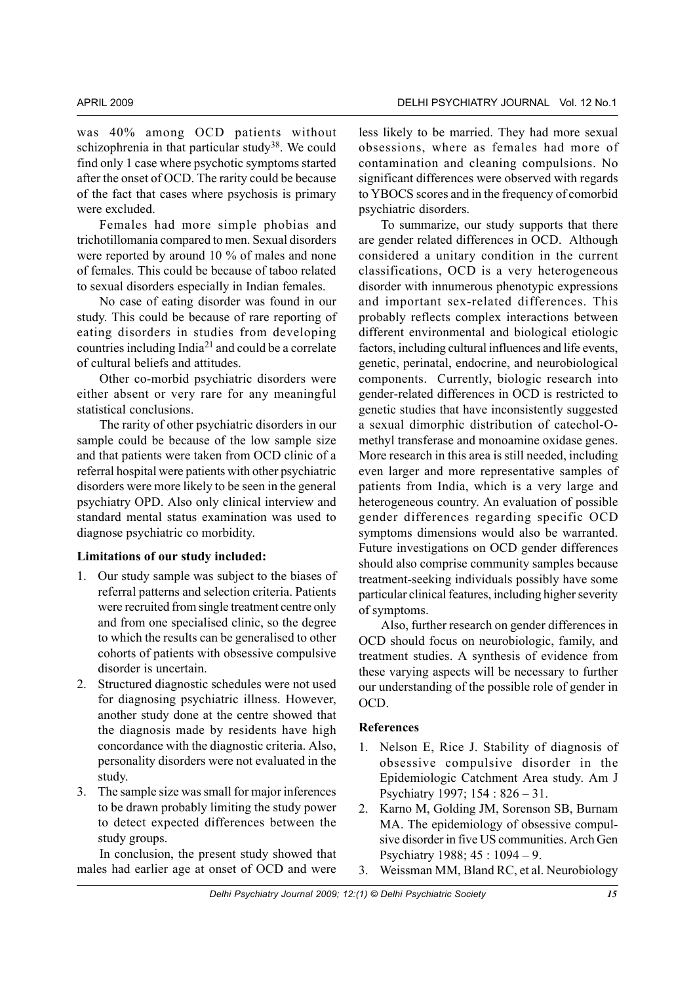was 40% among OCD patients without schizophrenia in that particular study<sup>38</sup>. We could find only 1 case where psychotic symptoms started after the onset of OCD. The rarity could be because of the fact that cases where psychosis is primary were excluded.

Females had more simple phobias and trichotillomania compared to men. Sexual disorders were reported by around 10 % of males and none of females. This could be because of taboo related to sexual disorders especially in Indian females.

No case of eating disorder was found in our study. This could be because of rare reporting of eating disorders in studies from developing countries including India21 and could be a correlate of cultural beliefs and attitudes.

Other co-morbid psychiatric disorders were either absent or very rare for any meaningful statistical conclusions.

The rarity of other psychiatric disorders in our sample could be because of the low sample size and that patients were taken from OCD clinic of a referral hospital were patients with other psychiatric disorders were more likely to be seen in the general psychiatry OPD. Also only clinical interview and standard mental status examination was used to diagnose psychiatric co morbidity.

#### **Limitations of our study included:**

- 1. Our study sample was subject to the biases of referral patterns and selection criteria. Patients were recruited from single treatment centre only and from one specialised clinic, so the degree to which the results can be generalised to other cohorts of patients with obsessive compulsive disorder is uncertain.
- 2. Structured diagnostic schedules were not used for diagnosing psychiatric illness. However, another study done at the centre showed that the diagnosis made by residents have high concordance with the diagnostic criteria. Also, personality disorders were not evaluated in the study.
- 3. The sample size was small for major inferences to be drawn probably limiting the study power to detect expected differences between the study groups.

In conclusion, the present study showed that males had earlier age at onset of OCD and were

less likely to be married. They had more sexual obsessions, where as females had more of contamination and cleaning compulsions. No significant differences were observed with regards to YBOCS scores and in the frequency of comorbid psychiatric disorders.

To summarize, our study supports that there are gender related differences in OCD. Although considered a unitary condition in the current classifications, OCD is a very heterogeneous disorder with innumerous phenotypic expressions and important sex-related differences. This probably reflects complex interactions between different environmental and biological etiologic factors, including cultural influences and life events, genetic, perinatal, endocrine, and neurobiological components. Currently, biologic research into gender-related differences in OCD is restricted to genetic studies that have inconsistently suggested a sexual dimorphic distribution of catechol-Omethyl transferase and monoamine oxidase genes. More research in this area is still needed, including even larger and more representative samples of patients from India, which is a very large and heterogeneous country. An evaluation of possible gender differences regarding specific OCD symptoms dimensions would also be warranted. Future investigations on OCD gender differences should also comprise community samples because treatment-seeking individuals possibly have some particular clinical features, including higher severity of symptoms.

Also, further research on gender differences in OCD should focus on neurobiologic, family, and treatment studies. A synthesis of evidence from these varying aspects will be necessary to further our understanding of the possible role of gender in OCD.

#### **References**

- 1. Nelson E, Rice J. Stability of diagnosis of obsessive compulsive disorder in the Epidemiologic Catchment Area study. Am J Psychiatry 1997; 154 : 826 – 31.
- 2. Karno M, Golding JM, Sorenson SB, Burnam MA. The epidemiology of obsessive compulsive disorder in five US communities. Arch Gen Psychiatry 1988; 45 : 1094 – 9.
- 3. Weissman MM, Bland RC, et al. Neurobiology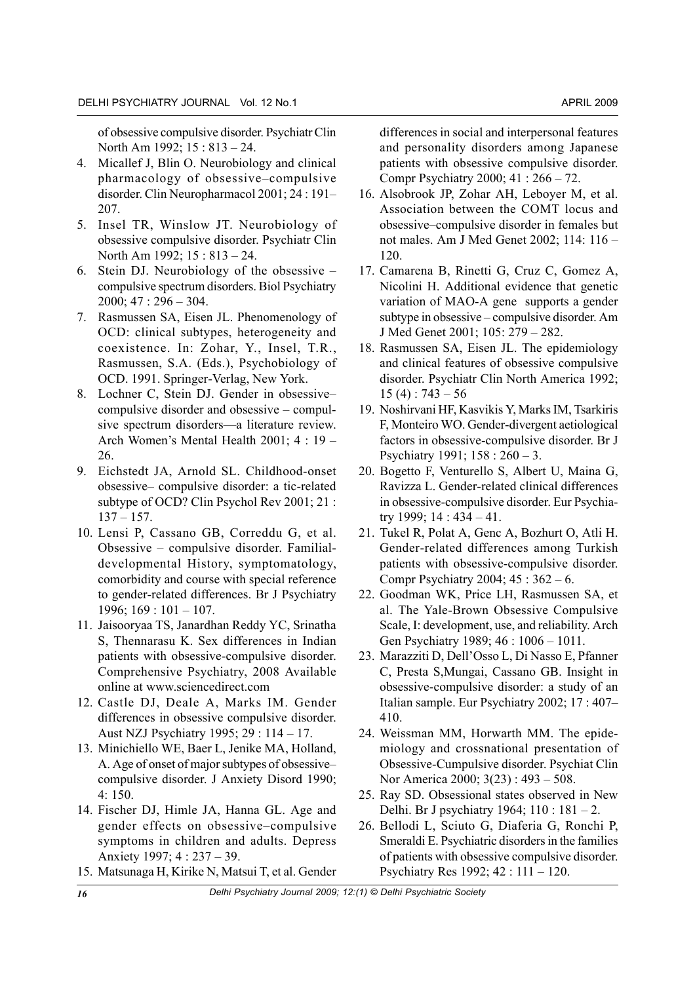of obsessive compulsive disorder. Psychiatr Clin North Am 1992; 15 : 813 – 24.

- 4. Micallef J, Blin O. Neurobiology and clinical pharmacology of obsessive–compulsive disorder. Clin Neuropharmacol 2001; 24 : 191– 207.
- 5. Insel TR, Winslow JT. Neurobiology of obsessive compulsive disorder. Psychiatr Clin North Am 1992; 15 : 813 – 24.
- 6. Stein DJ. Neurobiology of the obsessive compulsive spectrum disorders. Biol Psychiatry 2000; 47 : 296 – 304.
- 7. Rasmussen SA, Eisen JL. Phenomenology of OCD: clinical subtypes, heterogeneity and coexistence. In: Zohar, Y., Insel, T.R., Rasmussen, S.A. (Eds.), Psychobiology of OCD. 1991. Springer-Verlag, New York.
- 8. Lochner C, Stein DJ. Gender in obsessive– compulsive disorder and obsessive – compulsive spectrum disorders—a literature review. Arch Women's Mental Health 2001; 4 : 19 – 26.
- 9. Eichstedt JA, Arnold SL. Childhood-onset obsessive– compulsive disorder: a tic-related subtype of OCD? Clin Psychol Rev 2001; 21 :  $137 - 157$ .
- 10. Lensi P, Cassano GB, Correddu G, et al. Obsessive – compulsive disorder. Familialdevelopmental History, symptomatology, comorbidity and course with special reference to gender-related differences. Br J Psychiatry 1996; 169 : 101 – 107.
- 11. Jaisooryaa TS, Janardhan Reddy YC, Srinatha S, Thennarasu K. Sex differences in Indian patients with obsessive-compulsive disorder. Comprehensive Psychiatry, 2008 Available online at www.sciencedirect.com
- 12. Castle DJ, Deale A, Marks IM. Gender differences in obsessive compulsive disorder. Aust NZJ Psychiatry 1995; 29 : 114 – 17.
- 13. Minichiello WE, Baer L, Jenike MA, Holland, A. Age of onset of major subtypes of obsessive– compulsive disorder. J Anxiety Disord 1990; 4: 150.
- 14. Fischer DJ, Himle JA, Hanna GL. Age and gender effects on obsessive–compulsive symptoms in children and adults. Depress Anxiety 1997; 4 : 237 – 39.
- 15. Matsunaga H, Kirike N, Matsui T, et al. Gender

differences in social and interpersonal features and personality disorders among Japanese patients with obsessive compulsive disorder. Compr Psychiatry 2000; 41 : 266 – 72.

- 16. Alsobrook JP, Zohar AH, Leboyer M, et al. Association between the COMT locus and obsessive–compulsive disorder in females but not males. Am J Med Genet 2002; 114: 116 – 120.
- 17. Camarena B, Rinetti G, Cruz C, Gomez A, Nicolini H. Additional evidence that genetic variation of MAO-A gene supports a gender subtype in obsessive – compulsive disorder. Am J Med Genet 2001; 105: 279 – 282.
- 18. Rasmussen SA, Eisen JL. The epidemiology and clinical features of obsessive compulsive disorder. Psychiatr Clin North America 1992;  $15(4): 743-56$
- 19. Noshirvani HF, Kasvikis Y, Marks IM, Tsarkiris F, Monteiro WO. Gender-divergent aetiological factors in obsessive-compulsive disorder. Br J Psychiatry 1991; 158 : 260 – 3.
- 20. Bogetto F, Venturello S, Albert U, Maina G, Ravizza L. Gender-related clinical differences in obsessive-compulsive disorder. Eur Psychiatry 1999; 14 : 434 – 41.
- 21. Tukel R, Polat A, Genc A, Bozhurt O, Atli H. Gender-related differences among Turkish patients with obsessive-compulsive disorder. Compr Psychiatry 2004; 45 : 362 – 6.
- 22. Goodman WK, Price LH, Rasmussen SA, et al. The Yale-Brown Obsessive Compulsive Scale, I: development, use, and reliability. Arch Gen Psychiatry 1989; 46 : 1006 – 1011.
- 23. Marazziti D, Dell'Osso L, Di Nasso E, Pfanner C, Presta S,Mungai, Cassano GB. Insight in obsessive-compulsive disorder: a study of an Italian sample. Eur Psychiatry 2002; 17 : 407– 410.
- 24. Weissman MM, Horwarth MM. The epidemiology and crossnational presentation of Obsessive-Cumpulsive disorder. Psychiat Clin Nor America 2000; 3(23) : 493 – 508.
- 25. Ray SD. Obsessional states observed in New Delhi. Br J psychiatry 1964; 110 : 181 – 2.
- 26. Bellodi L, Sciuto G, Diaferia G, Ronchi P, Smeraldi E. Psychiatric disorders in the families of patients with obsessive compulsive disorder. Psychiatry Res 1992; 42 : 111 – 120.